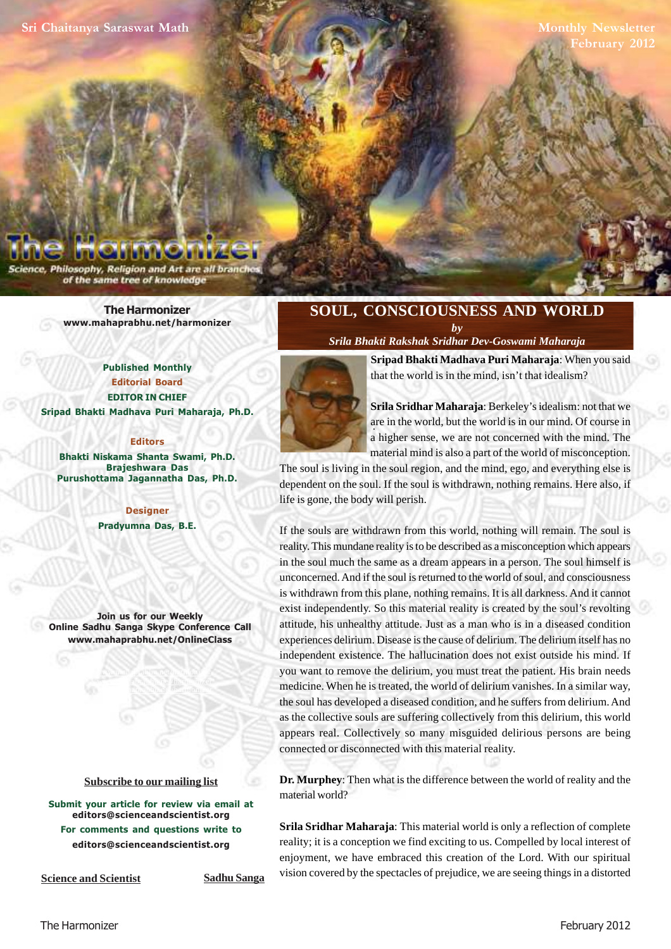**Monthly Newsletter February 2012**

Philosophy, Religion and Art are all bran of the same tree of knowledge

> **[The Harmonizer](www.mahaprabhu.net/satsanga/harmonizer) www.mahaprabhu.net/harmonizer**

**Published Monthly Editorial Board EDITOR IN CHIEF [Sripad Bhakti Madhava Puri Maharaja, Ph.D.](http://mahaprabhu.net/sadhusanga/blog1.php/2009/10/01/affectionate-guardians)**

#### **Editors**

**Bhakti Niskama Shanta Swami, Ph.D. Brajeshwara Das Purushottama Jagannatha Das, Ph.D.**

> **Designer Pradyumna Das, B.E.**

**Join us for our Weekly Online Sadhu Sanga Skype Conference Call www.mahaprabhu.net/OnlineClass**

> www.mahaprabhu.net/harmonizer www.mahaprabhu.net/harmonizer www.mahaprabhu.net/harmonizer

#### **<u>Subscribe to our mailing list</u>**

**Submit your article for review via email at editors@scienceandscientist.org For comments and questions write to editors@scienceandscientist.org**

**Science and Scientist Sadhu Sanga** 

# **SOUL, CONSCIOUSNESS AND WORLD** *by*

#### *[Srila Bhakti Rakshak Sridhar Dev-Goswami Maharaja](http://www.scsmath.com/docs/sridhar_maharaj.html)*



**[Sripad Bhakti Madhava Puri Maharaja](http://mahaprabhu.net/sadhusanga/blog1.php/2009/10/01/affectionate-guardians)**: When you said that the world is in the mind, isn't that idealism?

 . are in the world, but the world is in our mind. Of course in **[Srila Sridhar Maharaja](http://www.scsmath.com/docs/sridhar_maharaj.html)**: Berkeley's idealism: not that we a higher sense, we are not concerned with the mind. The material mind is also a part of the world of misconception.

The soul is living in the soul region, and the mind, ego, and everything else is dependent on the soul. If the soul is withdrawn, nothing remains. Here also, if life is gone, the body will perish.

If the souls are withdrawn from this world, nothing will remain. The soul is reality. This mundane reality is to be described as a misconception which appears in the soul much the same as a dream appears in a person. The soul himself is unconcerned. And if the soul is returned to the world of soul, and consciousness is withdrawn from this plane, nothing remains. It is all darkness. And it cannot exist independently. So this material reality is created by the soul's revolting attitude, his unhealthy attitude. Just as a man who is in a diseased condition experiences delirium. Disease is the cause of delirium. The delirium itself has no independent existence. The hallucination does not exist outside his mind. If you want to remove the delirium, you must treat the patient. His brain needs medicine. When he is treated, the world of delirium vanishes. In a similar way, the soul has developed a diseased condition, and he suffers from delirium. And as the collective souls are suffering collectively from this delirium, this world appears real. Collectively so many misguided delirious persons are being connected or disconnected with this material reality.

**Dr. Murphey**: Then what is the difference between the world of reality and the material world?

**[Srila Sridhar Maharaja](http://www.scsmath.com/docs/sridhar_maharaj.html)**: This material world is only a reflection of complete reality; it is a conception we find exciting to us. Compelled by local interest of enjoyment, we have embraced this creation of the Lord. With our spiritual vision covered by the spectacles of prejudice, we are seeing things in a distorted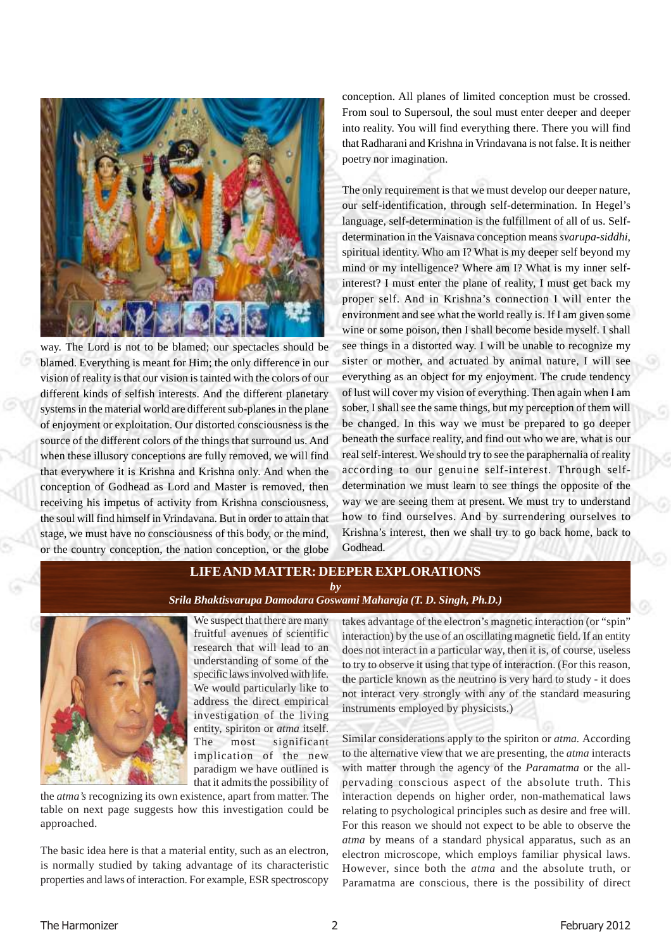

way. The Lord is not to be blamed; our spectacles should be blamed. Everything is meant for Him; the only difference in our vision of reality is that our vision is tainted with the colors of our different kinds of selfish interests. And the different planetary systems in the material world are different sub-planes in the plane of enjoyment or exploitation. Our distorted consciousness is the source of the different colors of the things that surround us. And when these illusory conceptions are fully removed, we will find that everywhere it is Krishna and Krishna only. And when the conception of Godhead as Lord and Master is removed, then receiving his impetus of activity from Krishna consciousness, the soul will find himself in Vrindavana. But in order to attain that stage, we must have no consciousness of this body, or the mind, or the country conception, the nation conception, or the globe

conception. All planes of limited conception must be crossed. From soul to Supersoul, the soul must enter deeper and deeper into reality. You will find everything there. There you will find that Radharani and Krishna in Vrindavana is not false. It is neither poetry nor imagination.

The only requirement is that we must develop our deeper nature, our self-identification, through self-determination. In Hegel's language, self-determination is the fulfillment of all of us. Selfdetermination in the Vaisnava conception means *svarupa-siddhi*, spiritual identity. Who am I? What is my deeper self beyond my mind or my intelligence? Where am I? What is my inner selfinterest? I must enter the plane of reality, I must get back my proper self. And in Krishna's connection I will enter the environment and see what the world really is. If I am given some wine or some poison, then I shall become beside myself. I shall see things in a distorted way. I will be unable to recognize my sister or mother, and actuated by animal nature, I will see everything as an object for my enjoyment. The crude tendency of lust will cover my vision of everything. Then again when I am sober, I shall see the same things, but my perception of them will be changed. In this way we must be prepared to go deeper beneath the surface reality, and find out who we are, what is our real self-interest. We should try to see the paraphernalia of reality according to our genuine self-interest. Through selfdetermination we must learn to see things the opposite of the way we are seeing them at present. We must try to understand how to find ourselves. And by surrendering ourselves to Krishna's interest, then we shall try to go back home, back to Godhead.

## **LIFE AND MATTER: DEEPER EXPLORATIONS**

*by*

#### *[Srila Bhaktisvarupa Damodara Goswami Maharaja \(T. D. Singh, Ph.D.\)](http://mahaprabhu.net/sadhusanga/blog1.php/2009/10/01/affectionate-guardians)*



We suspect that there are many fruitful avenues of scientific research that will lead to an understanding of some of the specific laws involved with life. We would particularly like to address the direct empirical investigation of the living entity, spiriton or *atma* itself. The most significant implication of the new paradigm we have outlined is that it admits the possibility of

the *atma's* recognizing its own existence, apart from matter. The table on next page suggests how this investigation could be approached.

The basic idea here is that a material entity, such as an electron, is normally studied by taking advantage of its characteristic properties and laws of interaction. For example, ESR spectroscopy

takes advantage of the electron's magnetic interaction (or "spin" interaction) by the use of an oscillating magnetic field. If an entity does not interact in a particular way, then it is, of course, useless to try to observe it using that type of interaction. (For this reason, the particle known as the neutrino is very hard to study - it does not interact very strongly with any of the standard measuring instruments employed by physicists.)

Similar considerations apply to the spiriton or *atma.* According to the alternative view that we are presenting, the *atma* interacts with matter through the agency of the *Paramatma* or the allpervading conscious aspect of the absolute truth. This interaction depends on higher order, non-mathematical laws relating to psychological principles such as desire and free will. For this reason we should not expect to be able to observe the *atma* by means of a standard physical apparatus, such as an electron microscope, which employs familiar physical laws. However, since both the *atma* and the absolute truth, or Paramatma are conscious, there is the possibility of direct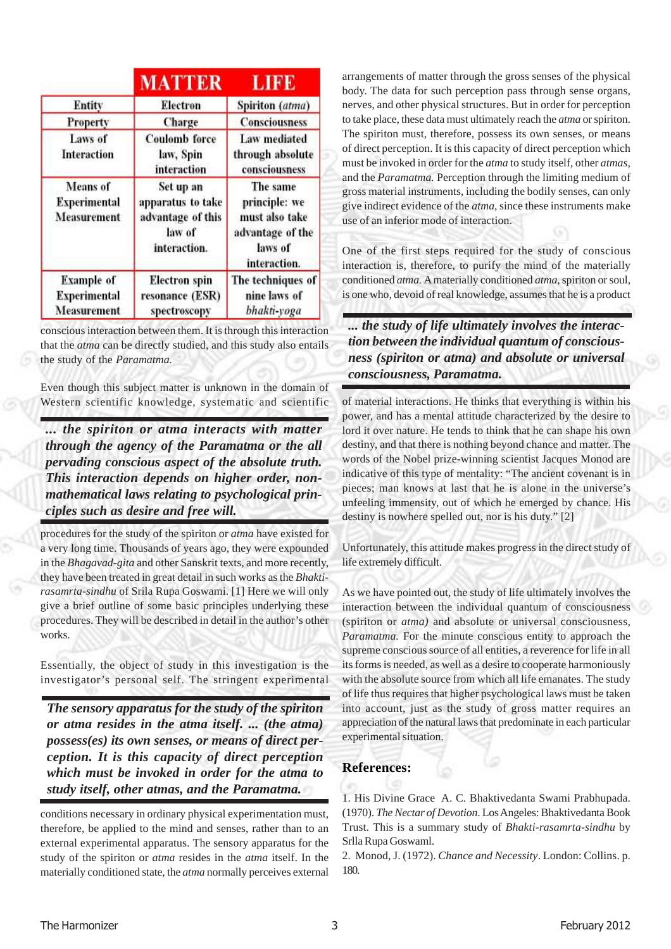|                                                                | <b>MATTER</b>                                                                 | <b>LIFE</b>                                                                                |
|----------------------------------------------------------------|-------------------------------------------------------------------------------|--------------------------------------------------------------------------------------------|
| Entity                                                         | Electron                                                                      | Spiriton (atma)                                                                            |
| <b>Property</b>                                                | Charge                                                                        | <b>Consciousness</b>                                                                       |
| Laws of<br><b>Interaction</b>                                  | <b>Coulomb</b> force<br>law, Spin<br>interaction                              | <b>Law mediated</b><br>through absolute<br>consciousness                                   |
| <b>Means</b> of<br><b>Experimental</b><br><b>Measurement</b>   | Set up an<br>apparatus to take<br>advantage of this<br>law of<br>interaction. | The same<br>principle: we<br>must also take<br>advantage of the<br>laws of<br>interaction. |
| <b>Example of</b><br><b>Experimental</b><br><b>Measurement</b> | <b>Electron</b> spin<br>resonance (ESR)<br>spectroscopy                       | The techniques of<br>nine laws of<br>bhakti-yoga                                           |

conscious interaction between them. It is through this interaction that the *atma* can be directly studied, and this study also entails the study of the *Paramatma.*

Even though this subject matter is unknown in the domain of Western scientific knowledge, systematic and scientific

*... the spiriton or atma interacts with matter through the agency of the Paramatma or the all pervading conscious aspect of the absolute truth. This interaction depends on higher order, nonmathematical laws relating to psychological principles such as desire and free will.*

procedures for the study of the spiriton or *atma* have existed for a very long time. Thousands of years ago, they were expounded in the *Bhagavad-gita* and other Sanskrit texts, and more recently, they have been treated in great detail in such works as the *Bhaktirasamrta-sindhu* of Srila Rupa Goswami. [1] Here we will only give a brief outline of some basic principles underlying these procedures. They will be described in detail in the author's other works.

Essentially, the object of study in this investigation is the investigator's personal self. The stringent experimental

*The sensory apparatus for the study of the spiriton or atma resides in the atma itself. ... (the atma) possess(es) its own senses, or means of direct perception. It is this capacity of direct perception which must be invoked in order for the atma to study itself, other atmas, and the Paramatma.*

conditions necessary in ordinary physical experimentation must, therefore, be applied to the mind and senses, rather than to an external experimental apparatus. The sensory apparatus for the study of the spiriton or *atma* resides in the *atma* itself. In the materially conditioned state, the *atma* normally perceives external

arrangements of matter through the gross senses of the physical body. The data for such perception pass through sense organs, nerves, and other physical structures. But in order for perception to take place, these data must ultimately reach the *atma* or spiriton. The spiriton must, therefore, possess its own senses, or means of direct perception. It is this capacity of direct perception which must be invoked in order for the *atma* to study itself, other *atmas,* and the *Paramatma.* Perception through the limiting medium of gross material instruments, including the bodily senses, can only give indirect evidence of the *atma,* since these instruments make use of an inferior mode of interaction.

One of the first steps required for the study of conscious interaction is, therefore, to purify the mind of the materially conditioned *atma.* A materially conditioned *atma,* spiriton or soul, is one who, devoid of real knowledge, assumes that he is a product

*... the study of life ultimately involves the interaction between the individual quantum of consciousness (spiriton or atma) and absolute or universal consciousness, Paramatma.*

of material interactions. He thinks that everything is within his power, and has a mental attitude characterized by the desire to lord it over nature. He tends to think that he can shape his own destiny, and that there is nothing beyond chance and matter. The words of the Nobel prize-winning scientist Jacques Monod are indicative of this type of mentality: "The ancient covenant is in pieces; man knows at last that he is alone in the universe's unfeeling immensity, out of which he emerged by chance. His destiny is nowhere spelled out, nor is his duty." [2]

Unfortunately, this attitude makes progress in the direct study of life extremely difficult.

As we have pointed out, the study of life ultimately involves the interaction between the individual quantum of consciousness (spiriton or *atma)* and absolute or universal consciousness, *Paramatma.* For the minute conscious entity to approach the supreme conscious source of all entities, a reverence for life in all its forms is needed, as well as a desire to cooperate harmoniously with the absolute source from which all life emanates. The study of life thus requires that higher psychological laws must be taken into account, just as the study of gross matter requires an appreciation of the natural laws that predominate in each particular experimental situation.

### **References:**

1. His Divine Grace A. C. Bhaktivedanta Swami Prabhupada. (1970). *The Nectar of Devotion*. Los Angeles: Bhaktivedanta Book Trust. This is a summary study of *Bhakti-rasamrta-sindhu* by Srlla Rupa Goswaml.

2. Monod, J. (1972). *Chance and Necessity*. London: Collins. p. 180.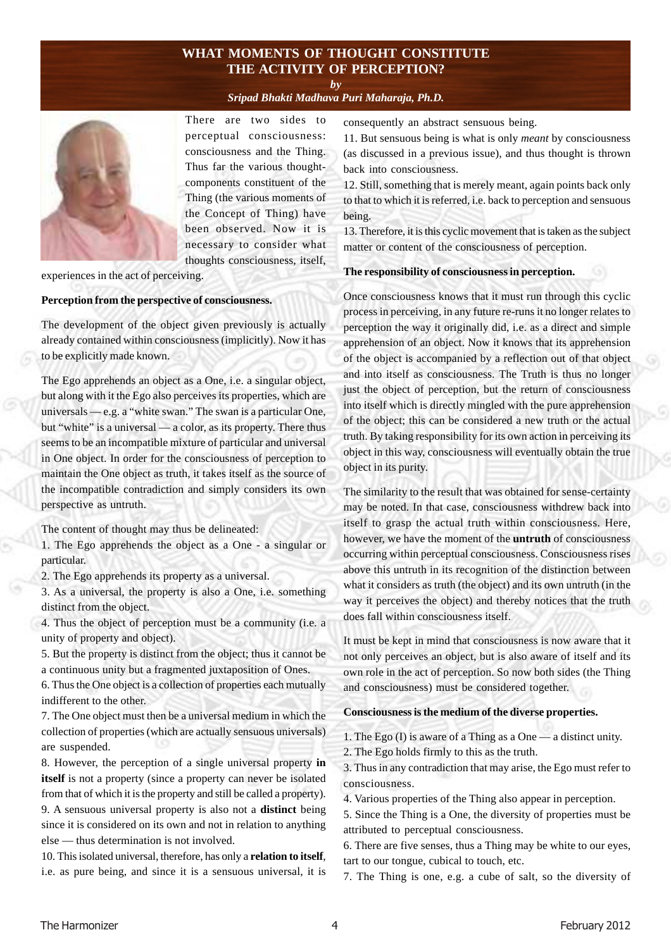# **WHAT MOMENTS OF THOUGHT CONSTITUTE THE ACTIVITY OF PERCEPTION?**

*by*

*[Sripad Bhakti Madhava Puri Maharaja, Ph.D.](http://mahaprabhu.net/sadhusanga/blog1.php/2009/10/01/affectionate-guardians)*



There are two sides to perceptual consciousness: consciousness and the Thing. Thus far the various thoughtcomponents constituent of the Thing (the various moments of the Concept of Thing) have been observed. Now it is necessary to consider what thoughts consciousness, itself,

experiences in the act of perceiving.

#### **Perception from the perspective of consciousness.**

The development of the object given previously is actually already contained within consciousness (implicitly). Now it has to be explicitly made known.

The Ego apprehends an object as a One, i.e. a singular object, but along with it the Ego also perceives its properties, which are universals — e.g. a "white swan." The swan is a particular One, but "white" is a universal — a color, as its property. There thus seems to be an incompatible mixture of particular and universal in One object. In order for the consciousness of perception to maintain the One object as truth, it takes itself as the source of the incompatible contradiction and simply considers its own perspective as untruth.

The content of thought may thus be delineated:

1. The Ego apprehends the object as a One - a singular or particular.

2. The Ego apprehends its property as a universal.

3. As a universal, the property is also a One, i.e. something distinct from the object.

4. Thus the object of perception must be a community (i.e. a unity of property and object).

5. But the property is distinct from the object; thus it cannot be a continuous unity but a fragmented juxtaposition of Ones.

6. Thus the One object is a collection of properties each mutually indifferent to the other.

7. The One object must then be a universal medium in which the collection of properties (which are actually sensuous universals) are suspended.

8. However, the perception of a single universal property **in itself** is not a property (since a property can never be isolated from that of which it is the property and still be called a property). 9. A sensuous universal property is also not a **distinct** being since it is considered on its own and not in relation to anything else — thus determination is not involved.

10. This isolated universal, therefore, has only a **relation to itself**, i.e. as pure being, and since it is a sensuous universal, it is consequently an abstract sensuous being.

11. But sensuous being is what is only *meant* by consciousness (as discussed in a previous issue), and thus thought is thrown back into consciousness.

12. Still, something that is merely meant, again points back only to that to which it is referred, i.e. back to perception and sensuous being.

13. Therefore, it is this cyclic movement that is taken as the subject matter or content of the consciousness of perception.

#### **The responsibility of consciousness in perception.**

Once consciousness knows that it must run through this cyclic process in perceiving, in any future re-runs it no longer relates to perception the way it originally did, i.e. as a direct and simple apprehension of an object. Now it knows that its apprehension of the object is accompanied by a reflection out of that object and into itself as consciousness. The Truth is thus no longer just the object of perception, but the return of consciousness into itself which is directly mingled with the pure apprehension of the object; this can be considered a new truth or the actual truth. By taking responsibility for its own action in perceiving its object in this way, consciousness will eventually obtain the true object in its purity.

The similarity to the result that was obtained for sense-certainty may be noted. In that case, consciousness withdrew back into itself to grasp the actual truth within consciousness. Here, however, we have the moment of the **untruth** of consciousness occurring within perceptual consciousness. Consciousness rises above this untruth in its recognition of the distinction between what it considers as truth (the object) and its own untruth (in the way it perceives the object) and thereby notices that the truth does fall within consciousness itself.

It must be kept in mind that consciousness is now aware that it not only perceives an object, but is also aware of itself and its own role in the act of perception. So now both sides (the Thing and consciousness) must be considered together.

#### **Consciousness is the medium of the diverse properties.**

1. The Ego (I) is aware of a Thing as a One — a distinct unity.

2. The Ego holds firmly to this as the truth.

3. Thus in any contradiction that may arise, the Ego must refer to consciousness.

4. Various properties of the Thing also appear in perception.

5. Since the Thing is a One, the diversity of properties must be attributed to perceptual consciousness.

6. There are five senses, thus a Thing may be white to our eyes, tart to our tongue, cubical to touch, etc.

7. The Thing is one, e.g. a cube of salt, so the diversity of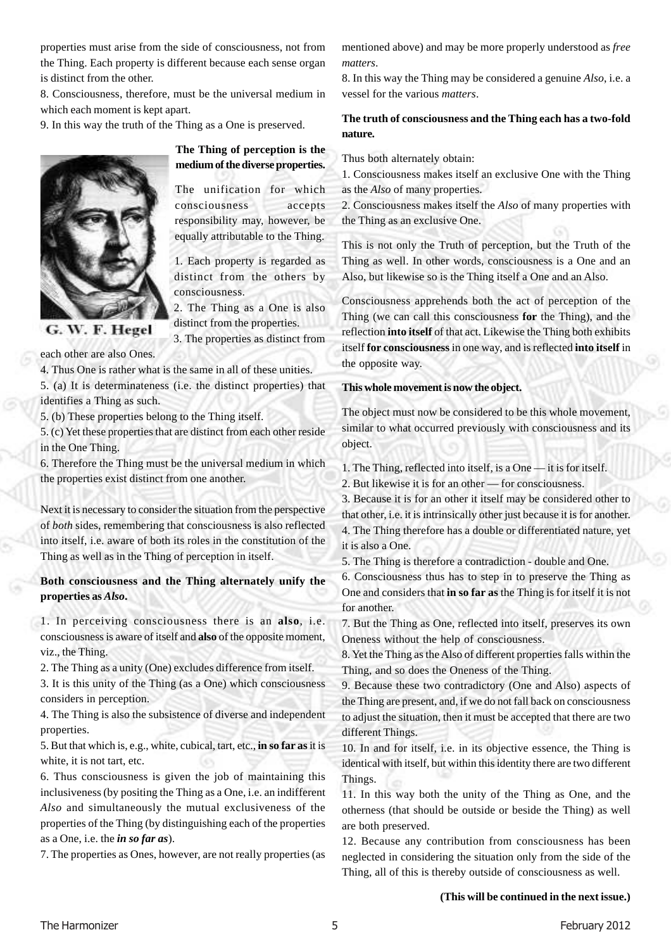properties must arise from the side of consciousness, not from the Thing. Each property is different because each sense organ is distinct from the other.

8. Consciousness, therefore, must be the universal medium in which each moment is kept apart.

9. In this way the truth of the Thing as a One is preserved.



**The Thing of perception is the medium of the diverse properties.**

The unification for which consciousness accepts responsibility may, however, be equally attributable to the Thing.

1. Each property is regarded as distinct from the others by consciousness.

2. The Thing as a One is also distinct from the properties.

3. The properties as distinct from

each other are also Ones.

4. Thus One is rather what is the same in all of these unities.

5. (a) It is determinateness (i.e. the distinct properties) that identifies a Thing as such.

5. (b) These properties belong to the Thing itself.

5. (c) Yet these properties that are distinct from each other reside in the One Thing.

6. Therefore the Thing must be the universal medium in which the properties exist distinct from one another.

Next it is necessary to consider the situation from the perspective of *both* sides, remembering that consciousness is also reflected into itself, i.e. aware of both its roles in the constitution of the Thing as well as in the Thing of perception in itself.

### **Both consciousness and the Thing alternately unify the properties as** *Also***.**

1. In perceiving consciousness there is an **also**, i.e. consciousness is aware of itself and **also** of the opposite moment, viz., the Thing.

2. The Thing as a unity (One) excludes difference from itself.

3. It is this unity of the Thing (as a One) which consciousness considers in perception.

4. The Thing is also the subsistence of diverse and independent properties.

5. But that which is, e.g., white, cubical, tart, etc., **in so far as** it is white, it is not tart, etc.

6. Thus consciousness is given the job of maintaining this inclusiveness (by positing the Thing as a One, i.e. an indifferent *Also* and simultaneously the mutual exclusiveness of the properties of the Thing (by distinguishing each of the properties as a One, i.e. the *in so far as*).

7. The properties as Ones, however, are not really properties (as

mentioned above) and may be more properly understood as *free matters*.

8. In this way the Thing may be considered a genuine *Also*, i.e. a vessel for the various *matters*.

### **The truth of consciousness and the Thing each has a two-fold nature.**

Thus both alternately obtain:

1. Consciousness makes itself an exclusive One with the Thing as the *Also* of many properties.

2. Consciousness makes itself the *Also* of many properties with the Thing as an exclusive One.

This is not only the Truth of perception, but the Truth of the Thing as well. In other words, consciousness is a One and an Also, but likewise so is the Thing itself a One and an Also.

Consciousness apprehends both the act of perception of the Thing (we can call this consciousness **for** the Thing), and the reflection **into itself** of that act. Likewise the Thing both exhibits itself **for consciousness** in one way, and is reflected **into itself** in the opposite way.

#### **This whole movement is now the object.**

The object must now be considered to be this whole movement, similar to what occurred previously with consciousness and its object.

1. The Thing, reflected into itself, is a One — it is for itself.

2. But likewise it is for an other — for consciousness.

3. Because it is for an other it itself may be considered other to that other, i.e. it is intrinsically other just because it is for another. 4. The Thing therefore has a double or differentiated nature, yet it is also a One.

5. The Thing is therefore a contradiction - double and One.

6. Consciousness thus has to step in to preserve the Thing as One and considers that **in so far as** the Thing is for itself it is not for another.

7. But the Thing as One, reflected into itself, preserves its own Oneness without the help of consciousness.

8. Yet the Thing as the Also of different properties falls within the Thing, and so does the Oneness of the Thing.

9. Because these two contradictory (One and Also) aspects of the Thing are present, and, if we do not fall back on consciousness to adjust the situation, then it must be accepted that there are two different Things.

10. In and for itself, i.e. in its objective essence, the Thing is identical with itself, but within this identity there are two different Things.

11. In this way both the unity of the Thing as One, and the otherness (that should be outside or beside the Thing) as well are both preserved.

12. Because any contribution from consciousness has been neglected in considering the situation only from the side of the Thing, all of this is thereby outside of consciousness as well.

#### **(This will be continued in the next issue.)**